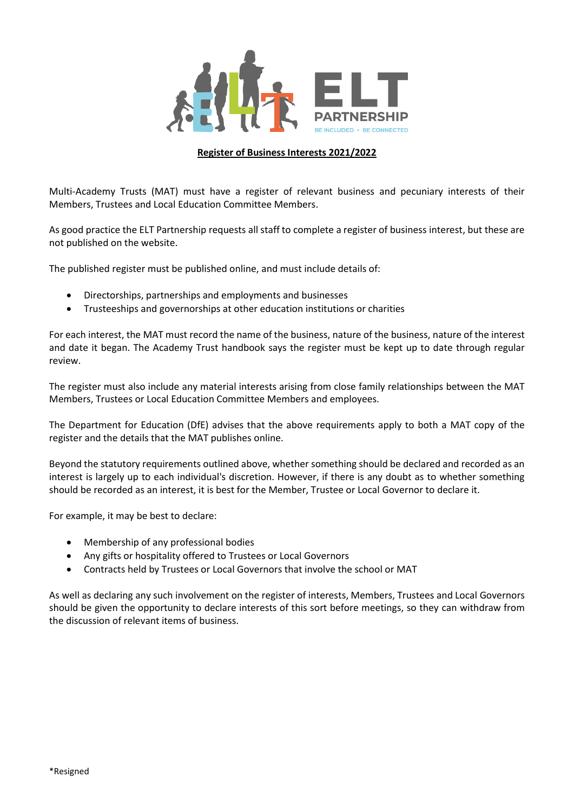

## **Register of Business Interests 2021/2022**

Multi-Academy Trusts (MAT) must have a register of relevant business and pecuniary interests of their Members, Trustees and Local Education Committee Members.

As good practice the ELT Partnership requests all staff to complete a register of business interest, but these are not published on the website.

The published register must be published online, and must include details of:

- Directorships, partnerships and employments and businesses
- Trusteeships and governorships at other education institutions or charities

For each interest, the MAT must record the name of the business, nature of the business, nature of the interest and date it began. The Academy Trust handbook says the register must be kept up to date through regular review.

The register must also include any material interests arising from close family relationships between the MAT Members, Trustees or Local Education Committee Members and employees.

The Department for Education (DfE) advises that the above requirements apply to both a MAT copy of the register and the details that the MAT publishes online.

Beyond the statutory requirements outlined above, whether something should be declared and recorded as an interest is largely up to each individual's discretion. However, if there is any doubt as to whether something should be recorded as an interest, it is best for the Member, Trustee or Local Governor to declare it.

For example, it may be best to declare:

- Membership of any professional bodies
- Any gifts or hospitality offered to Trustees or Local Governors
- Contracts held by Trustees or Local Governors that involve the school or MAT

As well as declaring any such involvement on the register of interests, Members, Trustees and Local Governors should be given the opportunity to declare interests of this sort before meetings, so they can withdraw from the discussion of relevant items of business.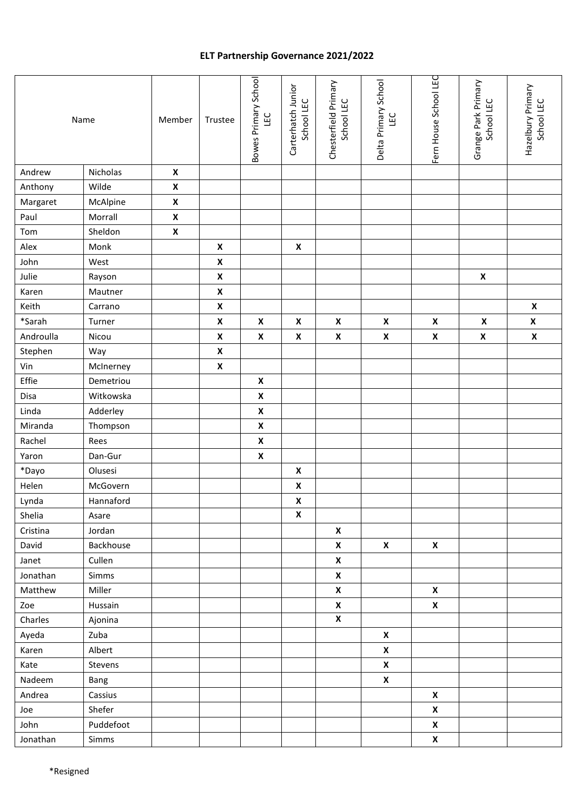## **ELT Partnership Governance 2021/2022**

|           | Name      | Member             | Trustee            | Bowes Primary School<br>LEC | Carterhatch Junior<br>School LEC | Chesterfield Primary<br>School LEC | Delta Primary School<br>LEC | Fern House School LEC | Grange Park Primary<br>School LEC | Hazelbury Primary<br>School LEC |
|-----------|-----------|--------------------|--------------------|-----------------------------|----------------------------------|------------------------------------|-----------------------------|-----------------------|-----------------------------------|---------------------------------|
| Andrew    | Nicholas  | $\pmb{\mathsf{x}}$ |                    |                             |                                  |                                    |                             |                       |                                   |                                 |
| Anthony   | Wilde     | $\pmb{\mathsf{x}}$ |                    |                             |                                  |                                    |                             |                       |                                   |                                 |
| Margaret  | McAlpine  | $\pmb{\mathsf{x}}$ |                    |                             |                                  |                                    |                             |                       |                                   |                                 |
| Paul      | Morrall   | $\pmb{\mathsf{X}}$ |                    |                             |                                  |                                    |                             |                       |                                   |                                 |
| Tom       | Sheldon   | $\pmb{\mathsf{X}}$ |                    |                             |                                  |                                    |                             |                       |                                   |                                 |
| Alex      | Monk      |                    | $\pmb{\mathsf{x}}$ |                             | $\pmb{\mathsf{X}}$               |                                    |                             |                       |                                   |                                 |
| John      | West      |                    | $\pmb{\mathsf{x}}$ |                             |                                  |                                    |                             |                       |                                   |                                 |
| Julie     | Rayson    |                    | $\pmb{\mathsf{x}}$ |                             |                                  |                                    |                             |                       | $\pmb{\mathsf{x}}$                |                                 |
| Karen     | Mautner   |                    | $\pmb{\mathsf{x}}$ |                             |                                  |                                    |                             |                       |                                   |                                 |
| Keith     | Carrano   |                    | $\pmb{\mathsf{x}}$ |                             |                                  |                                    |                             |                       |                                   | $\pmb{\mathsf{X}}$              |
| *Sarah    | Turner    |                    | $\pmb{\mathsf{x}}$ | $\pmb{\mathsf{X}}$          | $\pmb{\mathsf{X}}$               | $\pmb{\mathsf{X}}$                 | $\pmb{\mathsf{x}}$          | $\pmb{\mathsf{x}}$    | $\pmb{\mathsf{X}}$                | $\pmb{\mathsf{x}}$              |
| Androulla | Nicou     |                    | $\pmb{\mathsf{x}}$ | $\pmb{\mathsf{X}}$          | $\boldsymbol{\mathsf{x}}$        | $\pmb{\mathsf{x}}$                 | $\pmb{\mathsf{X}}$          | $\pmb{\mathsf{X}}$    | $\pmb{\mathsf{x}}$                | $\pmb{\mathsf{x}}$              |
| Stephen   | Way       |                    | $\pmb{\mathsf{X}}$ |                             |                                  |                                    |                             |                       |                                   |                                 |
| Vin       | McInerney |                    | $\pmb{\mathsf{x}}$ |                             |                                  |                                    |                             |                       |                                   |                                 |
| Effie     | Demetriou |                    |                    | $\pmb{\mathsf{X}}$          |                                  |                                    |                             |                       |                                   |                                 |
| Disa      | Witkowska |                    |                    | $\pmb{\mathsf{X}}$          |                                  |                                    |                             |                       |                                   |                                 |
| Linda     | Adderley  |                    |                    | $\pmb{\mathsf{X}}$          |                                  |                                    |                             |                       |                                   |                                 |
| Miranda   | Thompson  |                    |                    | $\pmb{\mathsf{x}}$          |                                  |                                    |                             |                       |                                   |                                 |
| Rachel    | Rees      |                    |                    | $\pmb{\mathsf{X}}$          |                                  |                                    |                             |                       |                                   |                                 |
| Yaron     | Dan-Gur   |                    |                    | $\pmb{\mathsf{X}}$          |                                  |                                    |                             |                       |                                   |                                 |
| *Dayo     | Olusesi   |                    |                    |                             | $\pmb{\mathsf{X}}$               |                                    |                             |                       |                                   |                                 |
| Helen     | McGovern  |                    |                    |                             | $\pmb{\mathsf{X}}$               |                                    |                             |                       |                                   |                                 |
| Lynda     | Hannaford |                    |                    |                             | $\pmb{\mathsf{X}}$               |                                    |                             |                       |                                   |                                 |
| Shelia    | Asare     |                    |                    |                             | $\pmb{\mathsf{x}}$               |                                    |                             |                       |                                   |                                 |
| Cristina  | Jordan    |                    |                    |                             |                                  | X                                  |                             |                       |                                   |                                 |
| David     | Backhouse |                    |                    |                             |                                  | X                                  | X                           | $\pmb{\mathsf{X}}$    |                                   |                                 |
| Janet     | Cullen    |                    |                    |                             |                                  | $\pmb{\mathsf{X}}$                 |                             |                       |                                   |                                 |
| Jonathan  | Simms     |                    |                    |                             |                                  | X                                  |                             |                       |                                   |                                 |
| Matthew   | Miller    |                    |                    |                             |                                  | X                                  |                             | $\boldsymbol{X}$      |                                   |                                 |
| Zoe       | Hussain   |                    |                    |                             |                                  | $\pmb{\mathsf{x}}$                 |                             | $\pmb{\mathsf{x}}$    |                                   |                                 |
| Charles   | Ajonina   |                    |                    |                             |                                  | $\pmb{\mathsf{X}}$                 |                             |                       |                                   |                                 |
| Ayeda     | Zuba      |                    |                    |                             |                                  |                                    | $\boldsymbol{\mathsf{X}}$   |                       |                                   |                                 |
| Karen     | Albert    |                    |                    |                             |                                  |                                    | X                           |                       |                                   |                                 |
| Kate      | Stevens   |                    |                    |                             |                                  |                                    | $\pmb{\mathsf{X}}$          |                       |                                   |                                 |
| Nadeem    | Bang      |                    |                    |                             |                                  |                                    | $\pmb{\mathsf{X}}$          |                       |                                   |                                 |
| Andrea    | Cassius   |                    |                    |                             |                                  |                                    |                             | $\pmb{\mathsf{X}}$    |                                   |                                 |
| Joe       | Shefer    |                    |                    |                             |                                  |                                    |                             | $\pmb{\mathsf{x}}$    |                                   |                                 |
| John      | Puddefoot |                    |                    |                             |                                  |                                    |                             | X                     |                                   |                                 |
| Jonathan  | Simms     |                    |                    |                             |                                  |                                    |                             | X                     |                                   |                                 |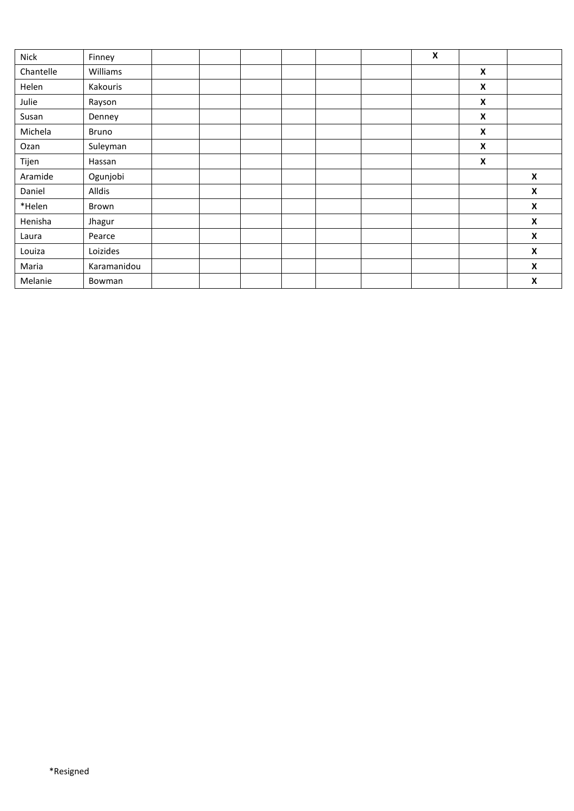| Nick      | Finney       |  |  |  | $\pmb{\mathsf{X}}$ |                    |                    |
|-----------|--------------|--|--|--|--------------------|--------------------|--------------------|
| Chantelle | Williams     |  |  |  |                    | $\pmb{\mathsf{x}}$ |                    |
| Helen     | Kakouris     |  |  |  |                    | X                  |                    |
| Julie     | Rayson       |  |  |  |                    | X                  |                    |
| Susan     | Denney       |  |  |  |                    | $\pmb{\mathsf{x}}$ |                    |
| Michela   | <b>Bruno</b> |  |  |  |                    | $\pmb{\mathsf{x}}$ |                    |
| Ozan      | Suleyman     |  |  |  |                    | X                  |                    |
| Tijen     | Hassan       |  |  |  |                    | $\pmb{\mathsf{x}}$ |                    |
| Aramide   | Ogunjobi     |  |  |  |                    |                    | $\pmb{\mathsf{x}}$ |
| Daniel    | Alldis       |  |  |  |                    |                    | X                  |
| *Helen    | Brown        |  |  |  |                    |                    | $\pmb{\mathsf{x}}$ |
| Henisha   | Jhagur       |  |  |  |                    |                    | X                  |
| Laura     | Pearce       |  |  |  |                    |                    | X                  |
| Louiza    | Loizides     |  |  |  |                    |                    | X                  |
| Maria     | Karamanidou  |  |  |  |                    |                    | X                  |
| Melanie   | Bowman       |  |  |  |                    |                    | X                  |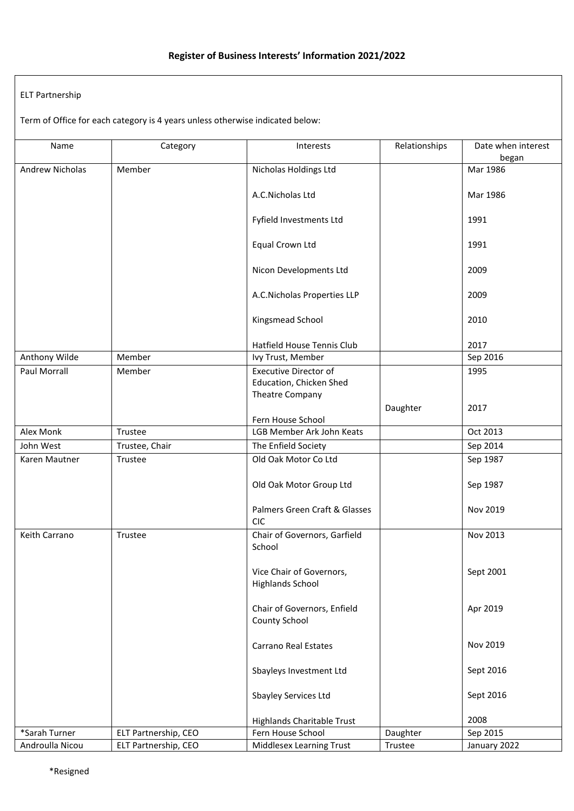## ELT Partnership

Term of Office for each category is 4 years unless otherwise indicated below:

| Name            | Category             | Interests                                      | Relationships | Date when interest |
|-----------------|----------------------|------------------------------------------------|---------------|--------------------|
|                 |                      |                                                |               | began              |
| Andrew Nicholas | Member               | Nicholas Holdings Ltd                          |               | Mar 1986           |
|                 |                      |                                                |               |                    |
|                 |                      | A.C.Nicholas Ltd                               |               | Mar 1986           |
|                 |                      | Fyfield Investments Ltd                        |               | 1991               |
|                 |                      |                                                |               |                    |
|                 |                      | Equal Crown Ltd                                |               | 1991               |
|                 |                      |                                                |               |                    |
|                 |                      | Nicon Developments Ltd                         |               | 2009               |
|                 |                      | A.C.Nicholas Properties LLP                    |               | 2009               |
|                 |                      |                                                |               |                    |
|                 |                      | Kingsmead School                               |               | 2010               |
|                 |                      |                                                |               |                    |
|                 |                      | Hatfield House Tennis Club                     |               | 2017               |
| Anthony Wilde   | Member               | Ivy Trust, Member                              |               | Sep 2016           |
| Paul Morrall    | Member               | <b>Executive Director of</b>                   |               | 1995               |
|                 |                      | Education, Chicken Shed                        |               |                    |
|                 |                      | Theatre Company                                |               |                    |
|                 |                      |                                                | Daughter      | 2017               |
| Alex Monk       | Trustee              | Fern House School<br>LGB Member Ark John Keats |               | Oct 2013           |
| John West       | Trustee, Chair       | The Enfield Society                            |               | Sep 2014           |
| Karen Mautner   | Trustee              | Old Oak Motor Co Ltd                           |               | Sep 1987           |
|                 |                      |                                                |               |                    |
|                 |                      | Old Oak Motor Group Ltd                        |               | Sep 1987           |
|                 |                      |                                                |               |                    |
|                 |                      | Palmers Green Craft & Glasses                  |               | Nov 2019           |
|                 |                      | <b>CIC</b>                                     |               |                    |
| Keith Carrano   | Trustee              | Chair of Governors, Garfield                   |               | Nov 2013           |
|                 |                      | School                                         |               |                    |
|                 |                      |                                                |               |                    |
|                 |                      | Vice Chair of Governors,                       |               | Sept 2001          |
|                 |                      | <b>Highlands School</b>                        |               |                    |
|                 |                      | Chair of Governors, Enfield                    |               | Apr 2019           |
|                 |                      | County School                                  |               |                    |
|                 |                      |                                                |               |                    |
|                 |                      | <b>Carrano Real Estates</b>                    |               | Nov 2019           |
|                 |                      |                                                |               |                    |
|                 |                      | Sbayleys Investment Ltd                        |               | Sept 2016          |
|                 |                      |                                                |               |                    |
|                 |                      | Sbayley Services Ltd                           |               | Sept 2016          |
|                 |                      | Highlands Charitable Trust                     |               | 2008               |
| *Sarah Turner   | ELT Partnership, CEO | Fern House School                              | Daughter      | Sep 2015           |
| Androulla Nicou | ELT Partnership, CEO | Middlesex Learning Trust                       | Trustee       | January 2022       |
|                 |                      |                                                |               |                    |